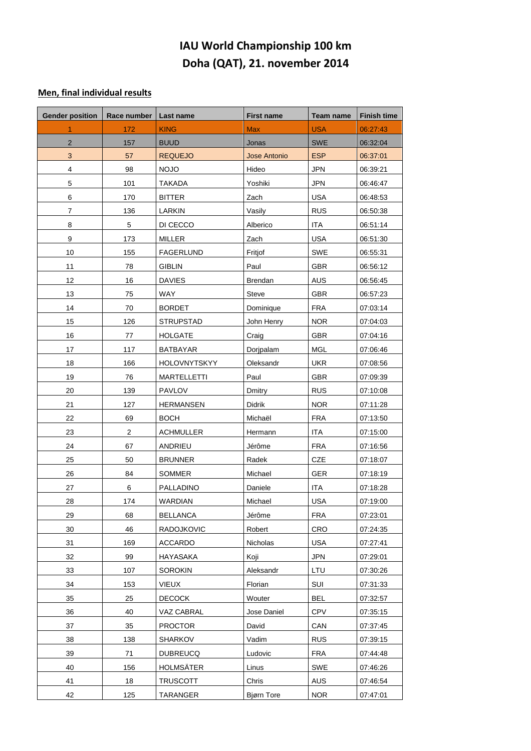## **IAU World Championship 100 km Doha (QAT), 21. november 2014**

## **Men, final individual results**

| <b>Gender position</b>    | Race number             | Last name           | <b>First name</b>   | <b>Team name</b> | <b>Finish time</b> |
|---------------------------|-------------------------|---------------------|---------------------|------------------|--------------------|
| 1                         | 172                     | <b>KING</b>         | <b>Max</b>          | <b>USA</b>       | 06:27:43           |
| $\mathbf 2$               | 157                     | <b>BUUD</b>         | Jonas               | <b>SWE</b>       | 06:32:04           |
| $\ensuremath{\mathsf{3}}$ | 57                      | <b>REQUEJO</b>      | <b>Jose Antonio</b> | <b>ESP</b>       | 06:37:01           |
| $\overline{\mathbf{4}}$   | 98                      | <b>NOJO</b>         | Hideo               | <b>JPN</b>       | 06:39:21           |
| 5                         | 101                     | <b>TAKADA</b>       | Yoshiki             | <b>JPN</b>       | 06:46:47           |
| 6                         | 170                     | <b>BITTER</b>       | Zach                | <b>USA</b>       | 06:48:53           |
| 7                         | 136                     | LARKIN              | Vasily              | <b>RUS</b>       | 06:50:38           |
| 8                         | 5                       | DI CECCO            | Alberico            | <b>ITA</b>       | 06:51:14           |
| 9                         | 173                     | <b>MILLER</b>       | Zach                | <b>USA</b>       | 06:51:30           |
| 10                        | 155                     | <b>FAGERLUND</b>    | Fritjof             | <b>SWE</b>       | 06:55:31           |
| 11                        | 78                      | <b>GIBLIN</b>       | Paul                | GBR              | 06:56:12           |
| 12                        | 16                      | <b>DAVIES</b>       | Brendan             | <b>AUS</b>       | 06:56:45           |
| 13                        | 75                      | <b>WAY</b>          | Steve               | GBR              | 06:57:23           |
| 14                        | 70                      | <b>BORDET</b>       | Dominique           | <b>FRA</b>       | 07:03:14           |
| 15                        | 126                     | <b>STRUPSTAD</b>    | John Henry          | <b>NOR</b>       | 07:04:03           |
| 16                        | 77                      | <b>HOLGATE</b>      | Craig               | GBR              | 07:04:16           |
| 17                        | 117                     | BATBAYAR            | Dorjpalam           | <b>MGL</b>       | 07:06:46           |
| 18                        | 166                     | <b>HOLOVNYTSKYY</b> | Oleksandr           | <b>UKR</b>       | 07:08:56           |
| 19                        | 76                      | <b>MARTELLETTI</b>  | Paul                | GBR              | 07:09:39           |
| 20                        | 139                     | <b>PAVLOV</b>       | Dmitry              | <b>RUS</b>       | 07:10:08           |
| 21                        | 127                     | <b>HERMANSEN</b>    | <b>Didrik</b>       | <b>NOR</b>       | 07:11:28           |
| 22                        | 69                      | <b>BOCH</b>         | Michaël             | <b>FRA</b>       | 07:13:50           |
| 23                        | $\overline{\mathbf{c}}$ | <b>ACHMULLER</b>    | Hermann             | <b>ITA</b>       | 07:15:00           |
| 24                        | 67                      | ANDRIEU             | Jérôme              | <b>FRA</b>       | 07:16:56           |
| 25                        | 50                      | <b>BRUNNER</b>      | Radek               | <b>CZE</b>       | 07:18:07           |
| 26                        | 84                      | <b>SOMMER</b>       | Michael             | GER              | 07:18:19           |
| 27                        | 6                       | PALLADINO           | Daniele             | <b>ITA</b>       | 07:18:28           |
| 28                        | 174                     | <b>WARDIAN</b>      | Michael             | <b>USA</b>       | 07:19:00           |
| 29                        | 68                      | <b>BELLANCA</b>     | Jérôme              | <b>FRA</b>       | 07:23:01           |
| 30                        | 46                      | <b>RADOJKOVIC</b>   | Robert              | CRO              | 07:24:35           |
| 31                        | 169                     | <b>ACCARDO</b>      | Nicholas            | <b>USA</b>       | 07:27:41           |
| 32                        | 99                      | HAYASAKA            | Koji                | <b>JPN</b>       | 07:29:01           |
| 33                        | 107                     | <b>SOROKIN</b>      | Aleksandr           | LTU              | 07:30:26           |
| 34                        | 153                     | <b>VIEUX</b>        | Florian             | SUI              | 07:31:33           |
| 35                        | 25                      | <b>DECOCK</b>       | Wouter              | <b>BEL</b>       | 07:32:57           |
| 36                        | 40                      | VAZ CABRAL          | Jose Daniel         | <b>CPV</b>       | 07:35:15           |
| 37                        | 35                      | <b>PROCTOR</b>      | David               | CAN              | 07:37:45           |
| 38                        | 138                     | <b>SHARKOV</b>      | Vadim               | <b>RUS</b>       | 07:39:15           |
| 39                        | 71                      | <b>DUBREUCQ</b>     | Ludovic             | <b>FRA</b>       | 07:44:48           |
| 40                        | 156                     | HOLMSÄTER           | Linus               | SWE              | 07:46:26           |
| 41                        | 18                      | <b>TRUSCOTT</b>     | Chris               | <b>AUS</b>       | 07:46:54           |
| 42                        | 125                     | TARANGER            | Bjørn Tore          | <b>NOR</b>       | 07:47:01           |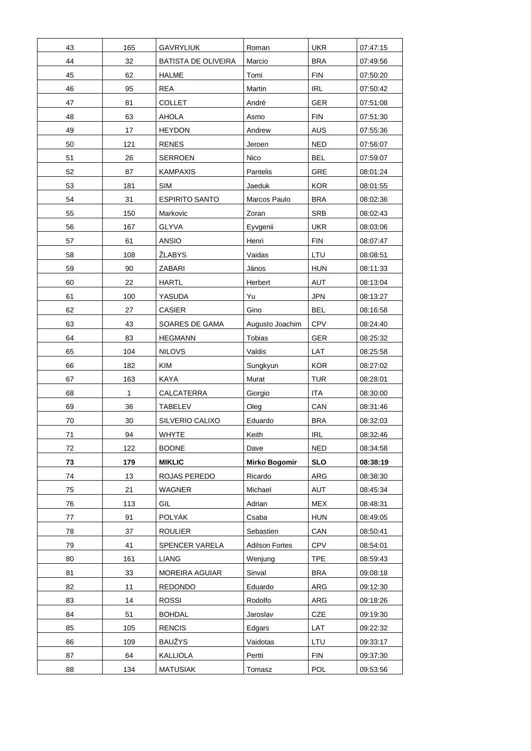| 43 | 165 | <b>GAVRYLIUK</b>           | Roman                 | <b>UKR</b> | 07:47:15 |
|----|-----|----------------------------|-----------------------|------------|----------|
| 44 | 32  | <b>BATISTA DE OLIVEIRA</b> | Marcio                | <b>BRA</b> | 07:49:56 |
| 45 | 62  | HALME                      | Tomi                  | <b>FIN</b> | 07:50:20 |
| 46 | 95  | REA                        | Martin                | <b>IRL</b> | 07:50:42 |
| 47 | 81  | <b>COLLET</b>              | André                 | <b>GER</b> | 07:51:08 |
| 48 | 63  | AHOLA                      | Asmo                  | <b>FIN</b> | 07:51:30 |
| 49 | 17  | <b>HEYDON</b>              | Andrew                | AUS        | 07:55:36 |
| 50 | 121 | <b>RENES</b>               | Jeroen                | <b>NED</b> | 07:56:07 |
| 51 | 26  | <b>SERROEN</b>             | Nico                  | <b>BEL</b> | 07:59:07 |
| 52 | 87  | KAMPAXIS                   | Pantelis              | GRE        | 08:01:24 |
| 53 | 181 | SIM                        | Jaeduk                | <b>KOR</b> | 08:01:55 |
| 54 | 31  | <b>ESPIRITO SANTO</b>      | Marcos Paulo          | <b>BRA</b> | 08:02:36 |
| 55 | 150 | Markovic                   | Zoran                 | <b>SRB</b> | 08:02:43 |
| 56 | 167 | <b>GLYVA</b>               | Eyvgenii              | UKR        | 08:03:06 |
| 57 | 61  | ANSIO                      | Henri                 | FIN        | 08:07:47 |
| 58 | 108 | <b>ŽLABYS</b>              | Vaidas                | LTU        | 08:08:51 |
| 59 | 90  | ZABARI                     | János                 | <b>HUN</b> | 08:11:33 |
| 60 | 22  | <b>HARTL</b>               | Herbert               | <b>AUT</b> | 08:13:04 |
| 61 | 100 | YASUDA                     | Yu                    | JPN        | 08:13:27 |
| 62 | 27  | <b>CASIER</b>              | Gino                  | <b>BEL</b> | 08:16:58 |
| 63 | 43  | SOARES DE GAMA             | Augusto Joachim       | <b>CPV</b> | 08:24:40 |
| 64 | 83  | <b>HEGMANN</b>             | Tobias                | GER        | 08:25:32 |
| 65 | 104 | <b>NILOVS</b>              | Valdis                | LAT        | 08:25:58 |
| 66 | 182 | KIM                        | Sungkyun              | <b>KOR</b> | 08:27:02 |
| 67 | 163 | KAYA                       | Murat                 | <b>TUR</b> | 08:28:01 |
| 68 | 1   | CALCATERRA                 | Giorgio               | <b>ITA</b> | 08:30:00 |
| 69 | 36  | TABELEV                    | Oleg                  | CAN        | 08:31:46 |
| 70 | 30  | SILVERIO CALIXO            | Eduardo               | <b>BRA</b> | 08:32:03 |
| 71 | 94  | <b>WHYTE</b>               | Keith                 | <b>IRL</b> | 08:32:46 |
| 72 | 122 | <b>BOONE</b>               | Dave                  | <b>NED</b> | 08:34:58 |
| 73 | 179 | <b>MIKLIC</b>              | <b>Mirko Bogomir</b>  | <b>SLO</b> | 08:38:19 |
| 74 | 13  | ROJAS PEREDO               | Ricardo               | ARG        | 08:38:30 |
| 75 | 21  | WAGNER                     | Michael               | AUT        | 08:45:34 |
| 76 | 113 | GIL                        | Adrian                | <b>MEX</b> | 08:48:31 |
| 77 | 91  | <b>POLYÁK</b>              | Csaba                 | <b>HUN</b> | 08:49:05 |
| 78 | 37  | <b>ROULIER</b>             | Sebastien             | CAN        | 08:50:41 |
| 79 | 41  | SPENCER VARELA             | <b>Adilson Fortes</b> | <b>CPV</b> | 08:54:01 |
| 80 | 161 | LIANG                      | Wenjung               | <b>TPE</b> | 08:59:43 |
| 81 | 33  | MOREIRA AGUIAR             | Sinval                | <b>BRA</b> | 09:08:18 |
| 82 | 11  | <b>REDONDO</b>             | Eduardo               | ARG        | 09:12:30 |
| 83 | 14  | ROSSI                      | Rodolfo               | ARG        | 09:18:26 |
| 84 | 51  | <b>BOHDAL</b>              | Jaroslav              | CZE        | 09:19:30 |
| 85 | 105 | <b>RENCIS</b>              | Edgars                | LAT        | 09:22:32 |
| 86 | 109 | <b>BAUŽYS</b>              | Vaidotas              | LTU        | 09:33:17 |
| 87 | 64  | KALLIOLA                   | Pertti                | <b>FIN</b> | 09:37:30 |
| 88 | 134 | <b>MATUSIAK</b>            | Tomasz                | POL        | 09:53:56 |